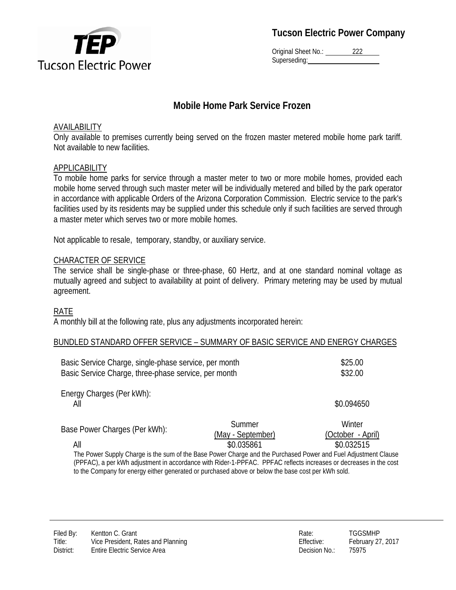

**Tucson Electric Power Company**

Original Sheet No.: 222 Superseding:

# **Mobile Home Park Service Frozen**

## AVAILABILITY

Only available to premises currently being served on the frozen master metered mobile home park tariff. Not available to new facilities.

## APPLICABILITY

To mobile home parks for service through a master meter to two or more mobile homes, provided each mobile home served through such master meter will be individually metered and billed by the park operator in accordance with applicable Orders of the Arizona Corporation Commission. Electric service to the park's facilities used by its residents may be supplied under this schedule only if such facilities are served through a master meter which serves two or more mobile homes.

Not applicable to resale, temporary, standby, or auxiliary service.

# CHARACTER OF SERVICE

The service shall be single-phase or three-phase, 60 Hertz, and at one standard nominal voltage as mutually agreed and subject to availability at point of delivery. Primary metering may be used by mutual agreement.

## RATE

A monthly bill at the following rate, plus any adjustments incorporated herein:

#### BUNDLED STANDARD OFFER SERVICE – SUMMARY OF BASIC SERVICE AND ENERGY CHARGES

| Basic Service Charge, single-phase service, per month<br>Basic Service Charge, three-phase service, per month                                                                                                                       |                                           | \$25.00<br>\$32.00                        |
|-------------------------------------------------------------------------------------------------------------------------------------------------------------------------------------------------------------------------------------|-------------------------------------------|-------------------------------------------|
| Energy Charges (Per kWh):<br>All                                                                                                                                                                                                    |                                           | \$0.094650                                |
| Base Power Charges (Per kWh):<br>All                                                                                                                                                                                                | Summer<br>(May - September)<br>\$0.035861 | Winter<br>(October - April)<br>\$0.032515 |
| The Power Supply Charge is the sum of the Base Power Charge and the Purchased Power and Fuel Adjustment Clause<br>(PPFAC), a per kWh adjustment in accordance with Rider-1-PPFAC. PPFAC reflects increases or decreases in the cost |                                           |                                           |

to the Company for energy either generated or purchased above or below the base cost per kWh sold.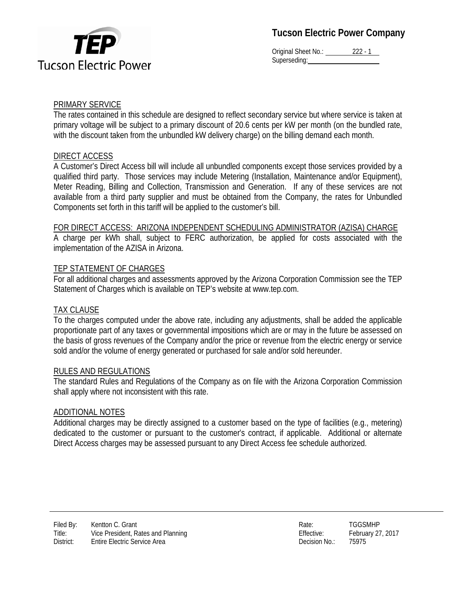

**Tucson Electric Power Company**

Original Sheet No.: 222 - 1 Superseding:

### PRIMARY SERVICE

The rates contained in this schedule are designed to reflect secondary service but where service is taken at primary voltage will be subject to a primary discount of 20.6 cents per kW per month (on the bundled rate, with the discount taken from the unbundled kW delivery charge) on the billing demand each month.

## DIRECT ACCESS

A Customer's Direct Access bill will include all unbundled components except those services provided by a qualified third party. Those services may include Metering (Installation, Maintenance and/or Equipment), Meter Reading, Billing and Collection, Transmission and Generation. If any of these services are not available from a third party supplier and must be obtained from the Company, the rates for Unbundled Components set forth in this tariff will be applied to the customer's bill.

#### FOR DIRECT ACCESS: ARIZONA INDEPENDENT SCHEDULING ADMINISTRATOR (AZISA) CHARGE

A charge per kWh shall, subject to FERC authorization, be applied for costs associated with the implementation of the AZISA in Arizona.

### TEP STATEMENT OF CHARGES

For all additional charges and assessments approved by the Arizona Corporation Commission see the TEP Statement of Charges which is available on TEP's website at www.tep.com.

#### TAX CLAUSE

To the charges computed under the above rate, including any adjustments, shall be added the applicable proportionate part of any taxes or governmental impositions which are or may in the future be assessed on the basis of gross revenues of the Company and/or the price or revenue from the electric energy or service sold and/or the volume of energy generated or purchased for sale and/or sold hereunder.

#### RULES AND REGULATIONS

The standard Rules and Regulations of the Company as on file with the Arizona Corporation Commission shall apply where not inconsistent with this rate.

#### ADDITIONAL NOTES

Additional charges may be directly assigned to a customer based on the type of facilities (e.g., metering) dedicated to the customer or pursuant to the customer's contract, if applicable. Additional or alternate Direct Access charges may be assessed pursuant to any Direct Access fee schedule authorized.